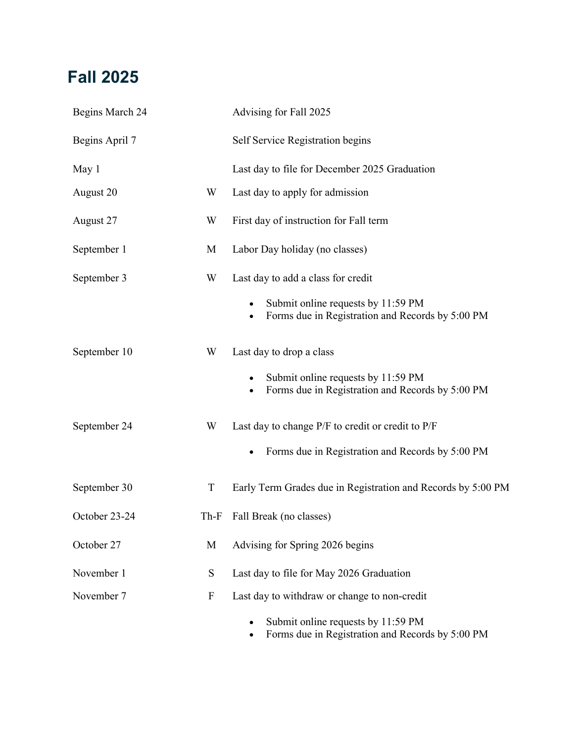### **Fall 2025**

| Begins March 24 |                           | Advising for Fall 2025                                                                                                                    |
|-----------------|---------------------------|-------------------------------------------------------------------------------------------------------------------------------------------|
| Begins April 7  |                           | Self Service Registration begins                                                                                                          |
| May 1           |                           | Last day to file for December 2025 Graduation                                                                                             |
| August 20       | W                         | Last day to apply for admission                                                                                                           |
| August 27       | W                         | First day of instruction for Fall term                                                                                                    |
| September 1     | M                         | Labor Day holiday (no classes)                                                                                                            |
| September 3     | W                         | Last day to add a class for credit<br>Submit online requests by 11:59 PM<br>Forms due in Registration and Records by 5:00 PM<br>$\bullet$ |
| September 10    | W                         | Last day to drop a class<br>Submit online requests by 11:59 PM<br>Forms due in Registration and Records by 5:00 PM<br>$\bullet$           |
| September 24    | W                         | Last day to change P/F to credit or credit to P/F<br>Forms due in Registration and Records by 5:00 PM                                     |
| September 30    | $\mathbf T$               | Early Term Grades due in Registration and Records by 5:00 PM                                                                              |
| October 23-24   | $Th-F$                    | Fall Break (no classes)                                                                                                                   |
| October 27      | M                         | Advising for Spring 2026 begins                                                                                                           |
| November 1      | ${\bf S}$                 | Last day to file for May 2026 Graduation                                                                                                  |
| November 7      | $\boldsymbol{\mathrm{F}}$ | Last day to withdraw or change to non-credit<br>Submit online requests by 11:59 PM<br>Forms due in Registration and Records by 5:00 PM    |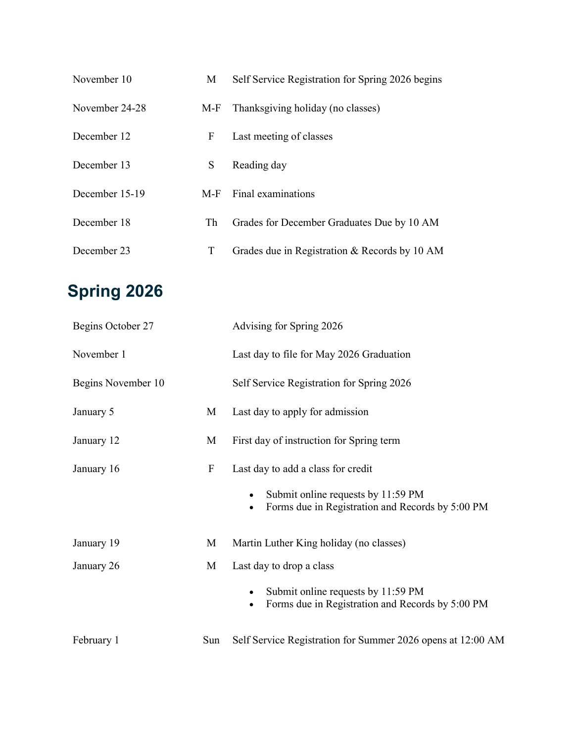| November 10    | M            | Self Service Registration for Spring 2026 begins |
|----------------|--------------|--------------------------------------------------|
| November 24-28 |              | M-F Thanksgiving holiday (no classes)            |
| December 12    | $\mathbf{F}$ | Last meeting of classes                          |
| December 13    |              | S Reading day                                    |
| December 15-19 |              | $M-F$ Final examinations                         |
| December 18    |              | Th Grades for December Graduates Due by 10 AM    |
| December 23    | T            | Grades due in Registration & Records by 10 AM    |

# **Spring 2026**

| Begins October 27  |                           | Advising for Spring 2026                                                                                                     |
|--------------------|---------------------------|------------------------------------------------------------------------------------------------------------------------------|
| November 1         |                           | Last day to file for May 2026 Graduation                                                                                     |
| Begins November 10 |                           | Self Service Registration for Spring 2026                                                                                    |
| January 5          | M                         | Last day to apply for admission                                                                                              |
| January 12         | M                         | First day of instruction for Spring term                                                                                     |
| January 16         | $\boldsymbol{\mathrm{F}}$ | Last day to add a class for credit<br>Submit online requests by 11:59 PM<br>Forms due in Registration and Records by 5:00 PM |
| January 19         | M                         | Martin Luther King holiday (no classes)                                                                                      |
| January 26         | M                         | Last day to drop a class<br>Submit online requests by 11:59 PM<br>Forms due in Registration and Records by 5:00 PM           |
| February 1         | Sun                       | Self Service Registration for Summer 2026 opens at 12:00 AM                                                                  |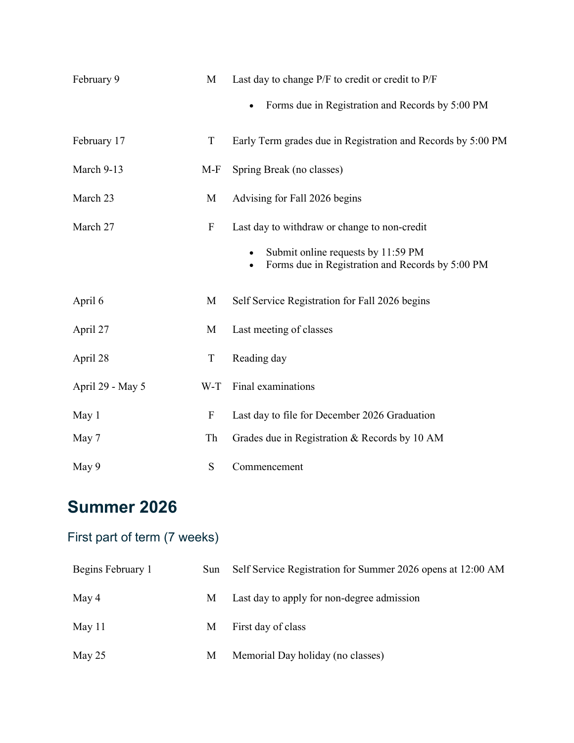| February 9       | M                         | Last day to change P/F to credit or credit to P/F<br>Forms due in Registration and Records by 5:00 PM                                  |
|------------------|---------------------------|----------------------------------------------------------------------------------------------------------------------------------------|
| February 17      | T                         | Early Term grades due in Registration and Records by 5:00 PM                                                                           |
| March 9-13       | $M-F$                     | Spring Break (no classes)                                                                                                              |
| March 23         | M                         | Advising for Fall 2026 begins                                                                                                          |
| March 27         | ${\bf F}$                 | Last day to withdraw or change to non-credit<br>Submit online requests by 11:59 PM<br>Forms due in Registration and Records by 5:00 PM |
| April 6          | M                         | Self Service Registration for Fall 2026 begins                                                                                         |
| April 27         | M                         | Last meeting of classes                                                                                                                |
| April 28         | $\mathbf T$               | Reading day                                                                                                                            |
| April 29 - May 5 | W-T                       | Final examinations                                                                                                                     |
| May 1            | $\boldsymbol{\mathrm{F}}$ | Last day to file for December 2026 Graduation                                                                                          |
| May 7            | Th                        | Grades due in Registration & Records by 10 AM                                                                                          |
| May 9            | ${\bf S}$                 | Commencement                                                                                                                           |

## **Summer 2026**

#### First part of term (7 weeks)

| Begins February 1 | Sun Self Service Registration for Summer 2026 opens at 12:00 AM |
|-------------------|-----------------------------------------------------------------|
| May 4             | M Last day to apply for non-degree admission                    |
| May 11            | M First day of class                                            |
| May 25            | M Memorial Day holiday (no classes)                             |